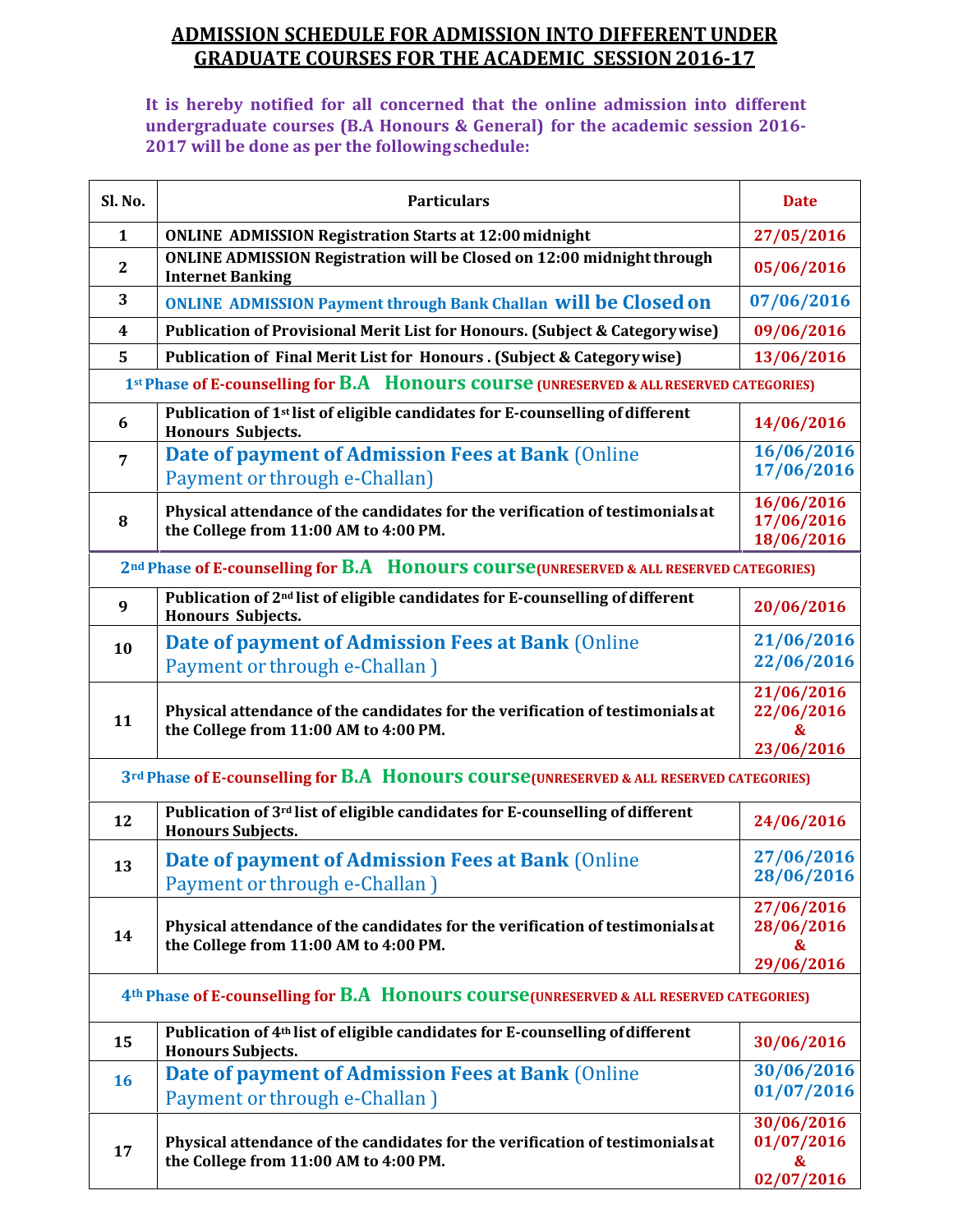## **ADMISSION SCHEDULE FOR ADMISSION INTO DIFFERENTUNDER GRADUATE COURSES FOR THE ACADEMIC SESSION2016-17**

**It is hereby notified for all concerned that the online admission into different undergraduate courses (B.A Honours & General) for the academic session 2016- 2017 will be done as per the followingschedule:**

| Sl. No.        | <b>Particulars</b>                                                                                                     | <b>Date</b>                                 |
|----------------|------------------------------------------------------------------------------------------------------------------------|---------------------------------------------|
| $\mathbf{1}$   | <b>ONLINE ADMISSION Registration Starts at 12:00 midnight</b>                                                          | 27/05/2016                                  |
| $\mathbf{2}$   | <b>ONLINE ADMISSION Registration will be Closed on 12:00 midnight through</b><br><b>Internet Banking</b>               | 05/06/2016                                  |
| 3              | <b>ONLINE ADMISSION Payment through Bank Challan Will be Closed on</b>                                                 | 07/06/2016                                  |
| 4              | Publication of Provisional Merit List for Honours. (Subject & Category wise)                                           | 09/06/2016                                  |
| 5              | Publication of Final Merit List for Honours . (Subject & Category wise)                                                | 13/06/2016                                  |
|                | 1st Phase of E-counselling for B.A Honours course (UNRESERVED & ALL RESERVED CATEGORIES)                               |                                             |
| 6              | Publication of 1 <sup>st</sup> list of eligible candidates for E-counselling of different<br><b>Honours Subjects.</b>  | 14/06/2016                                  |
| $\overline{7}$ | Date of payment of Admission Fees at Bank (Online<br>Payment or through e-Challan)                                     | 16/06/2016<br>17/06/2016                    |
| 8              | Physical attendance of the candidates for the verification of testimonials at<br>the College from 11:00 AM to 4:00 PM. | 16/06/2016<br>17/06/2016<br>18/06/2016      |
|                | 2 <sup>nd</sup> Phase of E-counselling for B.A Honours course (UNRESERVED & ALL RESERVED CATEGORIES)                   |                                             |
| 9              | Publication of 2 <sup>nd</sup> list of eligible candidates for E-counselling of different<br><b>Honours Subjects.</b>  | 20/06/2016                                  |
| 10             | Date of payment of Admission Fees at Bank (Online                                                                      | 21/06/2016                                  |
|                | Payment or through e-Challan )                                                                                         | 22/06/2016                                  |
| 11             | Physical attendance of the candidates for the verification of testimonials at<br>the College from 11:00 AM to 4:00 PM. | 21/06/2016<br>22/06/2016<br>&               |
|                | 3rd Phase of E-counselling for B.A Honours course (UNRESERVED & ALL RESERVED CATEGORIES)                               | 23/06/2016                                  |
| 12             | Publication of 3rd list of eligible candidates for E-counselling of different<br><b>Honours Subjects.</b>              | 24/06/2016                                  |
| 13             | Date of payment of Admission Fees at Bank (Online<br>Payment or through e-Challan )                                    | 27/06/2016<br>28/06/2016                    |
| 14             | Physical attendance of the candidates for the verification of testimonials at<br>the College from 11:00 AM to 4:00 PM. | 27/06/2016<br>28/06/2016<br>&<br>29/06/2016 |
|                | 4th Phase of E-counselling for B.A Honours course (UNRESERVED & ALL RESERVED CATEGORIES)                               |                                             |
| 15             | Publication of 4 <sup>th</sup> list of eligible candidates for E-counselling of different<br><b>Honours Subjects.</b>  | 30/06/2016                                  |
|                | Date of payment of Admission Fees at Bank (Online                                                                      | 30/06/2016                                  |
| 16             | Payment or through e-Challan )                                                                                         | 01/07/2016                                  |
| 17             | Physical attendance of the candidates for the verification of testimonials at<br>the College from 11:00 AM to 4:00 PM. | 30/06/2016<br>01/07/2016<br>&<br>02/07/2016 |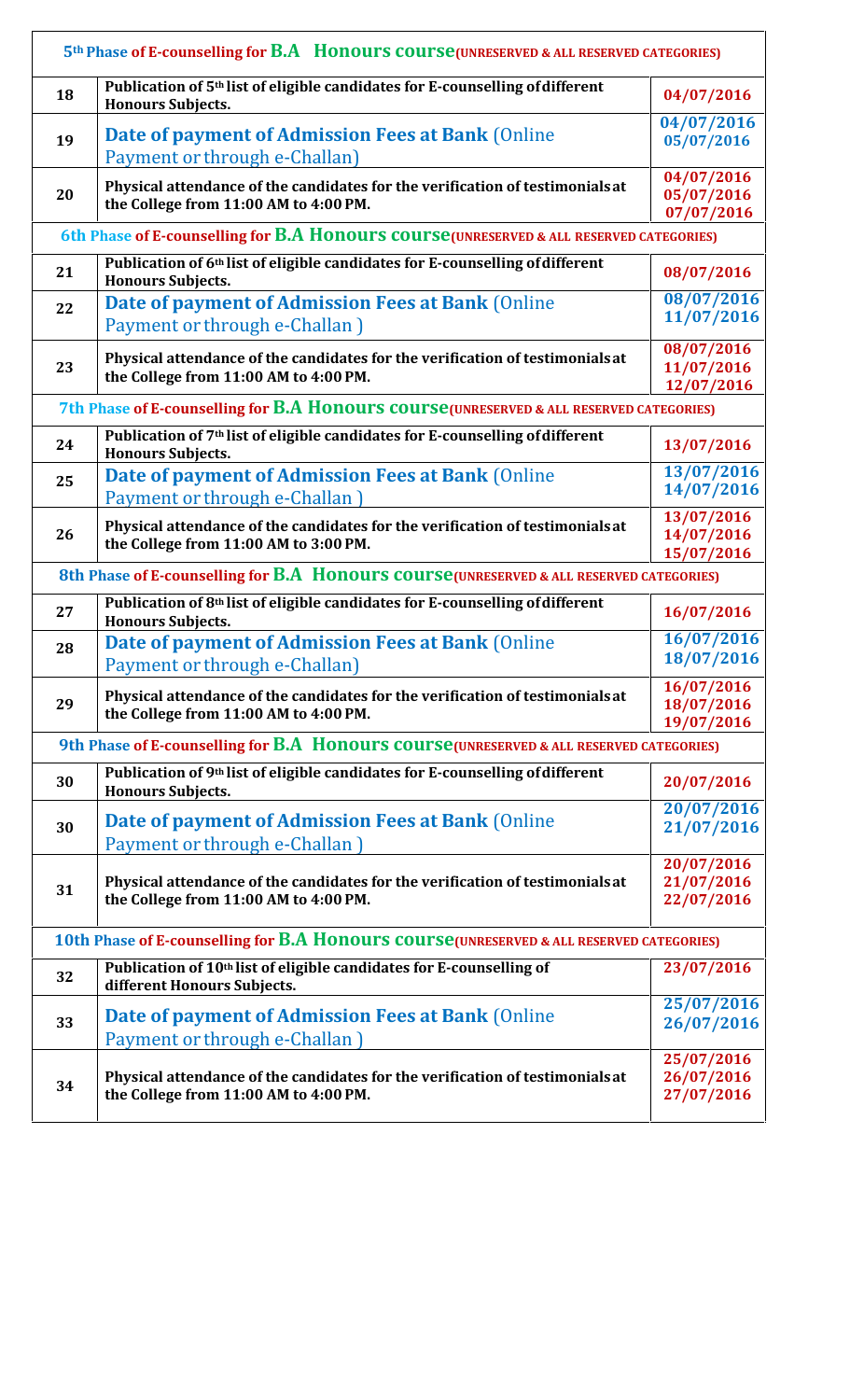|    | 5th Phase of E-counselling for B.A Honours course (UNRESERVED & ALL RESERVED CATEGORIES)                              |                      |
|----|-----------------------------------------------------------------------------------------------------------------------|----------------------|
| 18 | Publication of 5 <sup>th</sup> list of eligible candidates for E-counselling of different<br><b>Honours Subjects.</b> | 04/07/2016           |
|    |                                                                                                                       | 04/07/2016           |
| 19 | Date of payment of Admission Fees at Bank (Online<br>Payment or through e-Challan)                                    | 05/07/2016           |
|    | Physical attendance of the candidates for the verification of testimonials at                                         | 04/07/2016           |
| 20 | the College from 11:00 AM to 4:00 PM.                                                                                 | 05/07/2016           |
|    |                                                                                                                       | 07/07/2016           |
|    | 6th Phase of E-counselling for B.A Honours course (UNRESERVED & ALL RESERVED CATEGORIES)                              |                      |
| 21 | Publication of 6th list of eligible candidates for E-counselling of different<br><b>Honours Subjects.</b>             | 08/07/2016           |
| 22 | Date of payment of Admission Fees at Bank (Online                                                                     | 08/07/2016           |
|    | Payment or through e-Challan)                                                                                         | 11/07/2016           |
|    |                                                                                                                       | 08/07/2016           |
| 23 | Physical attendance of the candidates for the verification of testimonials at                                         | 11/07/2016           |
|    | the College from 11:00 AM to 4:00 PM.                                                                                 | 12/07/2016           |
|    | 7th Phase of E-counselling for B.A Honours course (UNRESERVED & ALL RESERVED CATEGORIES)                              |                      |
| 24 | Publication of 7 <sup>th</sup> list of eligible candidates for E-counselling of different<br><b>Honours Subjects.</b> | 13/07/2016           |
| 25 | Date of payment of Admission Fees at Bank (Online                                                                     | $\frac{13}{07}/2016$ |
|    | Payment or through e-Challan)                                                                                         | 14/07/2016           |
|    |                                                                                                                       | 13/07/2016           |
| 26 | Physical attendance of the candidates for the verification of testimonials at                                         | 14/07/2016           |
|    | the College from 11:00 AM to 3:00 PM.                                                                                 | 15/07/2016           |
|    | 8th Phase of E-counselling for B.A Honours course (UNRESERVED & ALL RESERVED CATEGORIES)                              |                      |
| 27 | Publication of 8th list of eligible candidates for E-counselling of different                                         | 16/07/2016           |
|    | <b>Honours Subjects.</b>                                                                                              |                      |
| 28 | Date of payment of Admission Fees at Bank (Online                                                                     | 16/07/2016           |
|    | Payment or through e-Challan)                                                                                         | 18/07/2016           |
|    |                                                                                                                       | 16/07/2016           |
| 29 | Physical attendance of the candidates for the verification of testimonials at                                         | 18/07/2016           |
|    | the College from 11:00 AM to 4:00 PM.                                                                                 | 19/07/2016           |
|    | 9th Phase of E-counselling for B.A Honours course (UNRESERVED & ALL RESERVED CATEGORIES)                              |                      |
| 30 | Publication of 9th list of eligible candidates for E-counselling of different<br><b>Honours Subjects.</b>             | 20/07/2016           |
|    |                                                                                                                       | 20/07/2016           |
| 30 | Date of payment of Admission Fees at Bank (Online                                                                     | 21/07/2016           |
|    | Payment or through e-Challan)                                                                                         |                      |
|    |                                                                                                                       | 20/07/2016           |
| 31 | Physical attendance of the candidates for the verification of testimonials at                                         | 21/07/2016           |
|    | the College from 11:00 AM to 4:00 PM.                                                                                 | 22/07/2016           |
|    |                                                                                                                       |                      |
|    | 10th Phase of E-counselling for B.A HONOUITS COUITS CUNRESERVED & ALL RESERVED CATEGORIES)                            |                      |
| 32 | Publication of 10 <sup>th</sup> list of eligible candidates for E-counselling of<br>different Honours Subjects.       | 23/07/2016           |
|    | Date of payment of Admission Fees at Bank (Online                                                                     | 25/07/2016           |
| 33 | Payment or through e-Challan)                                                                                         | 26/07/2016           |
|    |                                                                                                                       | 25/07/2016           |
|    |                                                                                                                       |                      |
|    |                                                                                                                       |                      |
| 34 | Physical attendance of the candidates for the verification of testimonials at                                         | 26/07/2016           |
|    | the College from 11:00 AM to 4:00 PM.                                                                                 | 27/07/2016           |